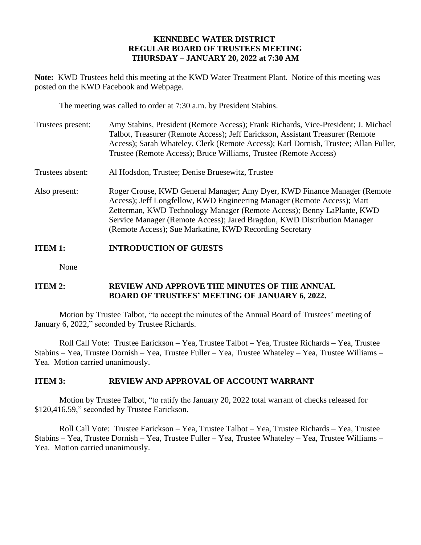#### **KENNEBEC WATER DISTRICT REGULAR BOARD OF TRUSTEES MEETING THURSDAY – JANUARY 20, 2022 at 7:30 AM**

**Note:** KWD Trustees held this meeting at the KWD Water Treatment Plant. Notice of this meeting was posted on the KWD Facebook and Webpage.

The meeting was called to order at 7:30 a.m. by President Stabins.

| Trustees present: | Amy Stabins, President (Remote Access); Frank Richards, Vice-President; J. Michael<br>Talbot, Treasurer (Remote Access); Jeff Earickson, Assistant Treasurer (Remote<br>Access); Sarah Whateley, Clerk (Remote Access); Karl Dornish, Trustee; Allan Fuller,<br>Trustee (Remote Access); Bruce Williams, Trustee (Remote Access)                                     |
|-------------------|----------------------------------------------------------------------------------------------------------------------------------------------------------------------------------------------------------------------------------------------------------------------------------------------------------------------------------------------------------------------|
| Trustees absent:  | Al Hodsdon, Trustee; Denise Bruesewitz, Trustee                                                                                                                                                                                                                                                                                                                      |
| Also present:     | Roger Crouse, KWD General Manager; Amy Dyer, KWD Finance Manager (Remote<br>Access); Jeff Longfellow, KWD Engineering Manager (Remote Access); Matt<br>Zetterman, KWD Technology Manager (Remote Access); Benny LaPlante, KWD<br>Service Manager (Remote Access); Jared Bragdon, KWD Distribution Manager<br>(Remote Access); Sue Markatine, KWD Recording Secretary |

## **ITEM 1: INTRODUCTION OF GUESTS**

None

### **ITEM 2: REVIEW AND APPROVE THE MINUTES OF THE ANNUAL BOARD OF TRUSTEES' MEETING OF JANUARY 6, 2022.**

Motion by Trustee Talbot, "to accept the minutes of the Annual Board of Trustees' meeting of January 6, 2022," seconded by Trustee Richards.

Roll Call Vote: Trustee Earickson – Yea, Trustee Talbot – Yea, Trustee Richards – Yea, Trustee Stabins – Yea, Trustee Dornish – Yea, Trustee Fuller – Yea, Trustee Whateley – Yea, Trustee Williams – Yea. Motion carried unanimously.

## **ITEM 3: REVIEW AND APPROVAL OF ACCOUNT WARRANT**

Motion by Trustee Talbot, "to ratify the January 20, 2022 total warrant of checks released for \$120,416.59," seconded by Trustee Earickson.

Roll Call Vote: Trustee Earickson – Yea, Trustee Talbot – Yea, Trustee Richards – Yea, Trustee Stabins – Yea, Trustee Dornish – Yea, Trustee Fuller – Yea, Trustee Whateley – Yea, Trustee Williams – Yea. Motion carried unanimously.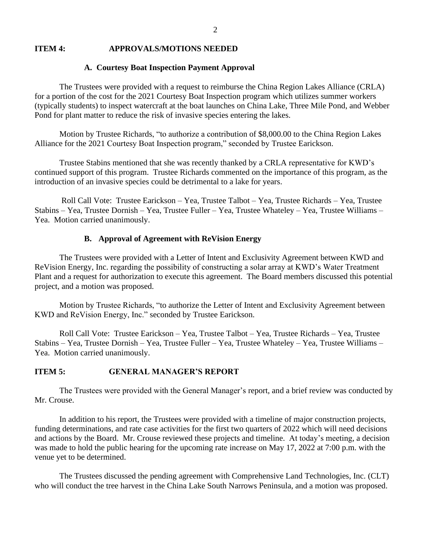#### **ITEM 4: APPROVALS/MOTIONS NEEDED**

#### **A. Courtesy Boat Inspection Payment Approval**

The Trustees were provided with a request to reimburse the China Region Lakes Alliance (CRLA) for a portion of the cost for the 2021 Courtesy Boat Inspection program which utilizes summer workers (typically students) to inspect watercraft at the boat launches on China Lake, Three Mile Pond, and Webber Pond for plant matter to reduce the risk of invasive species entering the lakes.

Motion by Trustee Richards, "to authorize a contribution of \$8,000.00 to the China Region Lakes Alliance for the 2021 Courtesy Boat Inspection program," seconded by Trustee Earickson.

Trustee Stabins mentioned that she was recently thanked by a CRLA representative for KWD's continued support of this program. Trustee Richards commented on the importance of this program, as the introduction of an invasive species could be detrimental to a lake for years.

Roll Call Vote: Trustee Earickson – Yea, Trustee Talbot – Yea, Trustee Richards – Yea, Trustee Stabins – Yea, Trustee Dornish – Yea, Trustee Fuller – Yea, Trustee Whateley – Yea, Trustee Williams – Yea. Motion carried unanimously.

#### **B. Approval of Agreement with ReVision Energy**

The Trustees were provided with a Letter of Intent and Exclusivity Agreement between KWD and ReVision Energy, Inc. regarding the possibility of constructing a solar array at KWD's Water Treatment Plant and a request for authorization to execute this agreement. The Board members discussed this potential project, and a motion was proposed.

Motion by Trustee Richards, "to authorize the Letter of Intent and Exclusivity Agreement between KWD and ReVision Energy, Inc." seconded by Trustee Earickson.

Roll Call Vote: Trustee Earickson – Yea, Trustee Talbot – Yea, Trustee Richards – Yea, Trustee Stabins – Yea, Trustee Dornish – Yea, Trustee Fuller – Yea, Trustee Whateley – Yea, Trustee Williams – Yea. Motion carried unanimously.

#### **ITEM 5: GENERAL MANAGER'S REPORT**

The Trustees were provided with the General Manager's report, and a brief review was conducted by Mr. Crouse.

In addition to his report, the Trustees were provided with a timeline of major construction projects, funding determinations, and rate case activities for the first two quarters of 2022 which will need decisions and actions by the Board. Mr. Crouse reviewed these projects and timeline. At today's meeting, a decision was made to hold the public hearing for the upcoming rate increase on May 17, 2022 at 7:00 p.m. with the venue yet to be determined.

The Trustees discussed the pending agreement with Comprehensive Land Technologies, Inc. (CLT) who will conduct the tree harvest in the China Lake South Narrows Peninsula, and a motion was proposed.